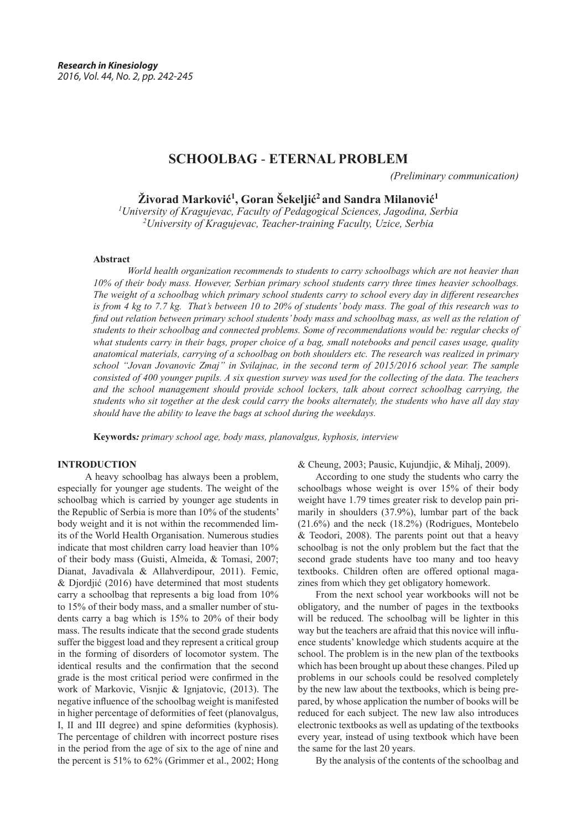# **SCHOOLBAG** - **ETERNAL PROBLEM**

*(Preliminary communication)*

**Živorad Marković<sup>1</sup> , Goran Šekeljić<sup>2</sup> and Sandra Milanović<sup>1</sup>**

*1 University of Kragujevac, Faculty of Pedagogical Sciences, Jagodina, Serbia 2 University of Kragujevac, Teacher-training Faculty, Uzice, Serbia*

#### **Abstract**

 *World health organization recommends to students to carry schoolbags which are not heavier than 10% of their body mass. However, Serbian primary school students carry three times heavier schoolbags. The weight of a schoolbag which primary school students carry to school every day in different researches is from 4 kg to 7.7 kg. That's between 10 to 20% of students' body mass. The goal of this research was to find out relation between primary school students' body mass and schoolbag mass, as well as the relation of students to their schoolbag and connected problems. Some of recommendations would be: regular checks of what students carry in their bags, proper choice of a bag, small notebooks and pencil cases usage, quality anatomical materials, carrying of a schoolbag on both shoulders etc. The research was realized in primary school "Jovan Jovanovic Zmaj" in Svilajnac, in the second term of 2015/2016 school year. The sample consisted of 400 younger pupils. A six question survey was used for the collecting of the data. The teachers and the school management should provide school lockers, talk about correct schoolbag carrying, the students who sit together at the desk could carry the books alternately, the students who have all day stay should have the ability to leave the bags at school during the weekdays.*

**Keywords***: primary school age, body mass, planovalgus, kyphosis, interview*

## **INTRODUCTION**

 A heavy schoolbag has always been a problem, especially for younger age students. The weight of the schoolbag which is carried by younger age students in the Republic of Serbia is more than 10% of the students' body weight and it is not within the recommended limits of the World Health Organisation. Numerous studies indicate that most children carry load heavier than 10% of their body mass (Guisti, Almeida, & Tomasi, 2007; Dianat, Javadivala & Allahverdipour, 2011). Femic, & Djordjić (2016) have determined that most students carry a schoolbag that represents a big load from 10% to 15% of their body mass, and a smaller number of students carry a bag which is 15% to 20% of their body mass. The results indicate that the second grade students suffer the biggest load and they represent a critical group in the forming of disorders of locomotor system. The identical results and the confirmation that the second grade is the most critical period were confirmed in the work of Markovic, Visnjic & Ignjatovic, (2013). The negative influence of the schoolbag weight is manifested in higher percentage of deformities of feet (planovalgus, I, II and III degree) and spine deformities (kyphosis). The percentage of children with incorrect posture rises in the period from the age of six to the age of nine and the percent is 51% to 62% (Grimmer et al., 2002; Hong & Cheung, 2003; Pausic, Kujundjic, & Mihalj, 2009).

According to one study the students who carry the schoolbags whose weight is over 15% of their body weight have 1.79 times greater risk to develop pain primarily in shoulders (37.9%), lumbar part of the back (21.6%) and the neck (18.2%) (Rodrigues, Montebelo & Teodori, 2008). The parents point out that a heavy schoolbag is not the only problem but the fact that the second grade students have too many and too heavy textbooks. Children often are offered optional magazines from which they get obligatory homework.

From the next school year workbooks will not be obligatory, and the number of pages in the textbooks will be reduced. The schoolbag will be lighter in this way but the teachers are afraid that this novice will influence students' knowledge which students acquire at the school. The problem is in the new plan of the textbooks which has been brought up about these changes. Piled up problems in our schools could be resolved completely by the new law about the textbooks, which is being prepared, by whose application the number of books will be reduced for each subject. The new law also introduces electronic textbooks as well as updating of the textbooks every year, instead of using textbook which have been the same for the last 20 years.

By the analysis of the contents of the schoolbag and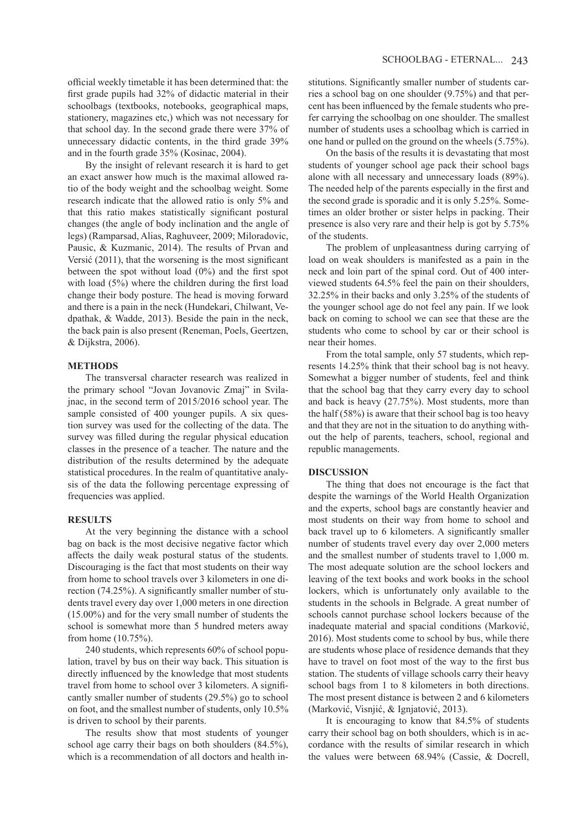official weekly timetable it has been determined that: the first grade pupils had 32% of didactic material in their schoolbags (textbooks, notebooks, geographical maps, stationery, magazines etc,) which was not necessary for that school day. In the second grade there were 37% of unnecessary didactic contents, in the third grade 39% and in the fourth grade 35% (Kosinac, 2004).

By the insight of relevant research it is hard to get an exact answer how much is the maximal allowed ratio of the body weight and the schoolbag weight. Some research indicate that the allowed ratio is only 5% and that this ratio makes statistically significant postural changes (the angle of body inclination and the angle of legs) (Ramparsad, Alias, Raghuveer, 2009; Miloradovic, Pausic, & Kuzmanic, 2014). The results of Prvan and Versić (2011), that the worsening is the most significant between the spot without load (0%) and the first spot with load (5%) where the children during the first load change their body posture. The head is moving forward and there is a pain in the neck (Hundekari, Chilwant, Vedpathak, & Wadde, 2013). Beside the pain in the neck, the back pain is also present (Reneman, Poels, Geertzen, & Dijkstra, 2006).

# **METHODS**

The transversal character research was realized in the primary school "Jovan Jovanovic Zmaj" in Svilajnac, in the second term of 2015/2016 school year. The sample consisted of 400 younger pupils. A six question survey was used for the collecting of the data. The survey was filled during the regular physical education classes in the presence of a teacher. The nature and the distribution of the results determined by the adequate statistical procedures. In the realm of quantitative analysis of the data the following percentage expressing of frequencies was applied.

#### **RESULTS**

At the very beginning the distance with a school bag on back is the most decisive negative factor which affects the daily weak postural status of the students. Discouraging is the fact that most students on their way from home to school travels over 3 kilometers in one direction (74.25%). A significantly smaller number of students travel every day over 1,000 meters in one direction (15.00%) and for the very small number of students the school is somewhat more than 5 hundred meters away from home (10.75%).

240 students, which represents 60% of school population, travel by bus on their way back. This situation is directly influenced by the knowledge that most students travel from home to school over 3 kilometers. A significantly smaller number of students (29.5%) go to school on foot, and the smallest number of students, only 10.5% is driven to school by their parents.

The results show that most students of younger school age carry their bags on both shoulders (84.5%), which is a recommendation of all doctors and health institutions. Significantly smaller number of students carries a school bag on one shoulder (9.75%) and that percent has been influenced by the female students who prefer carrying the schoolbag on one shoulder. The smallest number of students uses a schoolbag which is carried in one hand or pulled on the ground on the wheels (5.75%).

On the basis of the results it is devastating that most students of younger school age pack their school bags alone with all necessary and unnecessary loads (89%). The needed help of the parents especially in the first and the second grade is sporadic and it is only 5.25%. Sometimes an older brother or sister helps in packing. Their presence is also very rare and their help is got by 5.75% of the students.

The problem of unpleasantness during carrying of load on weak shoulders is manifested as a pain in the neck and loin part of the spinal cord. Out of 400 interviewed students 64.5% feel the pain on their shoulders, 32.25% in their backs and only 3.25% of the students of the younger school age do not feel any pain. If we look back on coming to school we can see that these are the students who come to school by car or their school is near their homes.

From the total sample, only 57 students, which represents 14.25% think that their school bag is not heavy. Somewhat a bigger number of students, feel and think that the school bag that they carry every day to school and back is heavy (27.75%). Most students, more than the half (58%) is aware that their school bag is too heavy and that they are not in the situation to do anything without the help of parents, teachers, school, regional and republic managements.

#### **DISCUSSION**

The thing that does not encourage is the fact that despite the warnings of the World Health Organization and the experts, school bags are constantly heavier and most students on their way from home to school and back travel up to 6 kilometers. A significantly smaller number of students travel every day over 2,000 meters and the smallest number of students travel to 1,000 m. The most adequate solution are the school lockers and leaving of the text books and work books in the school lockers, which is unfortunately only available to the students in the schools in Belgrade. A great number of schools cannot purchase school lockers because of the inadequate material and spacial conditions (Marković, 2016). Most students come to school by bus, while there are students whose place of residence demands that they have to travel on foot most of the way to the first bus station. The students of village schools carry their heavy school bags from 1 to 8 kilometers in both directions. The most present distance is between 2 and 6 kilometers (Marković, Visnjić, & Ignjatović, 2013).

It is encouraging to know that 84.5% of students carry their school bag on both shoulders, which is in accordance with the results of similar research in which the values were between 68.94% (Cassie, & Docrell,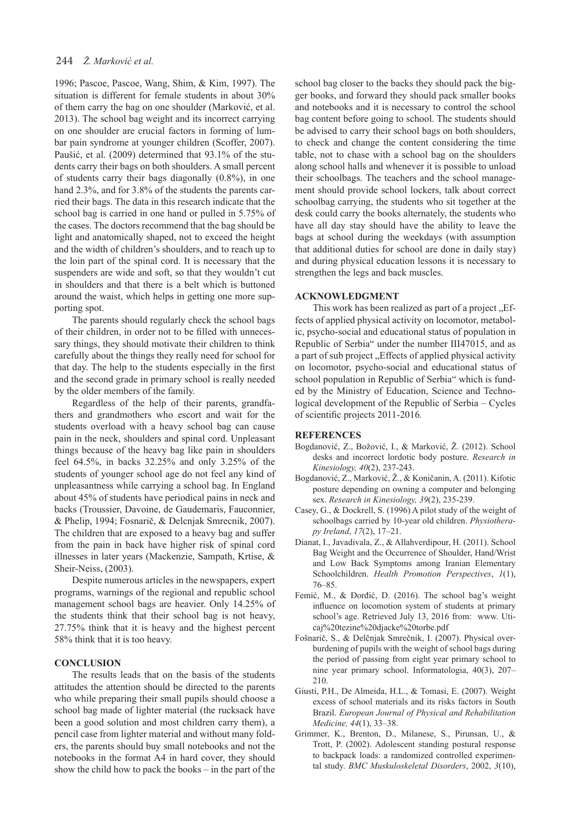# 244 *Ž. Marković et al.*

1996; Pascoe, Pascoe, Wang, Shim, & Kim, 1997). The situation is different for female students in about 30% of them carry the bag on one shoulder (Marković, et al. 2013). The school bag weight and its incorrect carrying on one shoulder are crucial factors in forming of lumbar pain syndrome at younger children (Scoffer, 2007). Paušić, et al. (2009) determined that 93.1% of the students carry their bags on both shoulders. A small percent of students carry their bags diagonally (0.8%), in one hand 2.3%, and for 3.8% of the students the parents carried their bags. The data in this research indicate that the school bag is carried in one hand or pulled in 5.75% of the cases. The doctors recommend that the bag should be light and anatomically shaped, not to exceed the height and the width of children's shoulders, and to reach up to the loin part of the spinal cord. It is necessary that the suspenders are wide and soft, so that they wouldn't cut in shoulders and that there is a belt which is buttoned around the waist, which helps in getting one more supporting spot.

The parents should regularly check the school bags of their children, in order not to be filled with unnecessary things, they should motivate their children to think carefully about the things they really need for school for that day. The help to the students especially in the first and the second grade in primary school is really needed by the older members of the family.

Regardless of the help of their parents, grandfathers and grandmothers who escort and wait for the students overload with a heavy school bag can cause pain in the neck, shoulders and spinal cord. Unpleasant things because of the heavy bag like pain in shoulders feel 64.5%, in backs 32.25% and only 3.25% of the students of younger school age do not feel any kind of unpleasantness while carrying a school bag. In England about 45% of students have periodical pains in neck and backs (Troussier, Davoine, de Gaudemaris, Fauconnier, & Phelip, 1994; Fosnarič, & Delcnjak Smrecnik, 2007). The children that are exposed to a heavy bag and suffer from the pain in back have higher risk of spinal cord illnesses in later years (Mackenzie, Sampath, Krtise, & Sheir-Neiss, (2003).

Despite numerous articles in the newspapers, expert programs, warnings of the regional and republic school management school bags are heavier. Only 14.25% of the students think that their school bag is not heavy, 27.75% think that it is heavy and the highest percent 58% think that it is too heavy.

#### **CONCLUSION**

The results leads that on the basis of the students attitudes the attention should be directed to the parents who while preparing their small pupils should choose a school bag made of lighter material (the rucksack have been a good solution and most children carry them), a pencil case from lighter material and without many folders, the parents should buy small notebooks and not the notebooks in the format A4 in hard cover, they should show the child how to pack the books – in the part of the

school bag closer to the backs they should pack the bigger books, and forward they should pack smaller books and notebooks and it is necessary to control the school bag content before going to school. The students should be advised to carry their school bags on both shoulders, to check and change the content considering the time table, not to chase with a school bag on the shoulders along school halls and whenever it is possible to unload their schoolbags. The teachers and the school management should provide school lockers, talk about correct schoolbag carrying, the students who sit together at the desk could carry the books alternately, the students who have all day stay should have the ability to leave the bags at school during the weekdays (with assumption that additional duties for school are done in daily stay) and during physical education lessons it is necessary to strengthen the legs and back muscles.

# **ACKNOWLEDGMENT**

This work has been realized as part of a project "Effects of applied physical activity on locomotor, metabolic, psycho-social and educational status of population in Republic of Serbia" under the number III47015, and as a part of sub project "Effects of applied physical activity on locomotor, psycho-social and educational status of school population in Republic of Serbia" which is funded by the Ministry of Education, Science and Technological development of the Republic of Serbia – Cycles of scientific projects 2011-2016*.*

#### **REFERENCES**

- Bogdanović, Z., Božović, I., & Marković, Ž. (2012). School desks and incorrect lordotic body posture. *Research in Kinesiology, 40*(2), 237-243.
- Bogdanović, Z., Marković, Ž., & Koničanin, A. (2011). Kifotic posture depending on owning a computer and belonging sex. *Research in Kinesiology, 39*(2), 235-239.
- Casey, G., & Dockrell, S. (1996) A pilot study of the weight of schoolbags carried by 10-year old children. *Physiotherapy Ireland*, *17*(2), 17–21.
- Dianat, I., Javadivala, Z., & Allahverdipour, H. (2011). School Bag Weight and the Occurrence of Shoulder, Hand/Wrist and Low Back Symptoms among Iranian Elementary Schoolchildren. *Health Promotion Perspectives*, *1*(1), 76–85.
- Femić, M., & Đorđić, D. (2016). The school bag's weight influence on locomotion system of students at primary school's age. Retrieved July 13, 2016 from: www. Uticaj%20tezine%20djacke%20torbe.pdf
- Fošnarič, S., & Delčnjak Smrečnik, I. (2007). Physical overburdening of pupils with the weight of school bags during the period of passing from eight year primary school to nine year primary school. Informatologia, 40(3), 207– 210.
- Giusti, P.H., De Almeida, H.L., & Tomasi, E. (2007). Weight excess of school materials and its risks factors in South Brazil. *European Journal of Physical and Rehabilitation Medicine, 44*(1), 33–38.
- Grimmer, K., Brenton, D., Milanese, S., Pirunsan, U., & Trott, P. (2002). Adolescent standing postural response to backpack loads: a randomized controlled experimental study. *BMC Muskuloskeletal Disorders*, 2002, *3*(10),